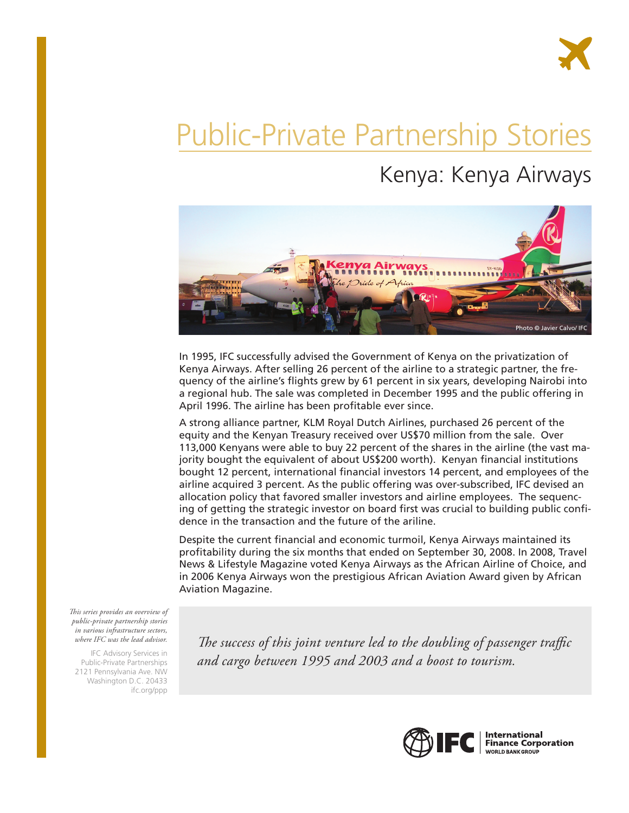# Public-Private Partnership Stories

# Kenya: Kenya Airways



In 1995, IFC successfully advised the Government of Kenya on the privatization of Kenya Airways. After selling 26 percent of the airline to a strategic partner, the frequency of the airline's flights grew by 61 percent in six years, developing Nairobi into a regional hub. The sale was completed in December 1995 and the public offering in April 1996. The airline has been profitable ever since.

A strong alliance partner, KLM Royal Dutch Airlines, purchased 26 percent of the equity and the Kenyan Treasury received over US\$70 million from the sale. Over 113,000 Kenyans were able to buy 22 percent of the shares in the airline (the vast majority bought the equivalent of about US\$200 worth). Kenyan financial institutions bought 12 percent, international financial investors 14 percent, and employees of the airline acquired 3 percent. As the public offering was over-subscribed, IFC devised an allocation policy that favored smaller investors and airline employees. The sequencing of getting the strategic investor on board first was crucial to building public confidence in the transaction and the future of the ariline.

Despite the current financial and economic turmoil, Kenya Airways maintained its profitability during the six months that ended on September 30, 2008. In 2008, Travel News & Lifestyle Magazine voted Kenya Airways as the African Airline of Choice, and in 2006 Kenya Airways won the prestigious African Aviation Award given by African Aviation Magazine.

*This series provides an overview of public-private partnership stories in various infrastructure sectors, where IFC was the lead advisor.* 

IFC Advisory Services in Public-Private Partnerships 2121 Pennsylvania Ave. NW Washington D.C. 20433 ifc.org/ppp

*The success of this joint venture led to the doubling of passenger traffic and cargo between 1995 and 2003 and a boost to tourism.* 



**International Finance Corporation** WORLD BANK GROUP